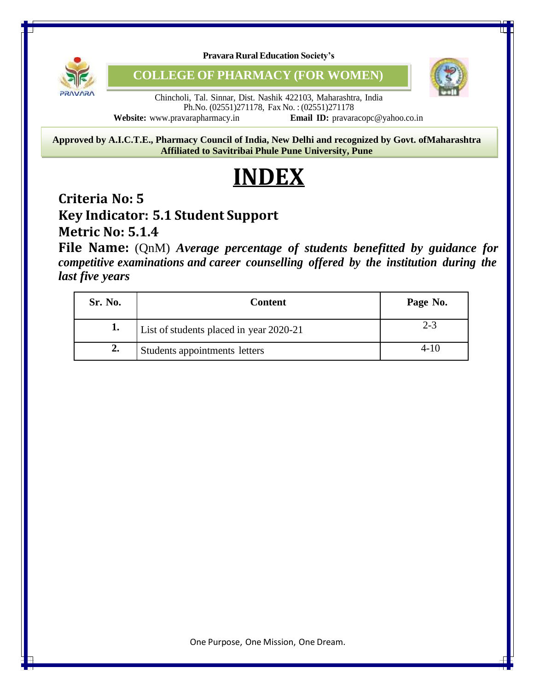

**Pravara Rural Education Society's**

**COLLEGE OF PHARMACY (FOR WOMEN)**



Chincholi, Tal. Sinnar, Dist. Nashik 422103, Maharashtra, India Ph.No. (02551)271178, Fax No. : (02551)271178 **Website:** [www.pravarapharmacy.in](http://www.pravarapharmacy.in/) **Email ID:** [pravaracopc@yahoo.co.in](mailto:pravaracopc@yahoo.co.in)

8 **Approved by A.I.C.T.E., Pharmacy Council of India, New Delhi and recognized by Govt. ofMaharashtra Affiliated to Savitribai Phule Pune University, Pune**

## **INDEX**

## **Criteria No: 5**

## **Key Indicator: 5.1 Student Support**

**Metric No: 5.1.4**

**File Name:** (QnM) *Average percentage of students benefitted by guidance for competitive examinations and career counselling offered by the institution during the last five years*

| Sr. No.        | <b>Content</b>                          | Page No. |
|----------------|-----------------------------------------|----------|
|                | List of students placed in year 2020-21 | $2 - 3$  |
| $\mathbf{2}$ . | Students appointments letters           | $4 - 10$ |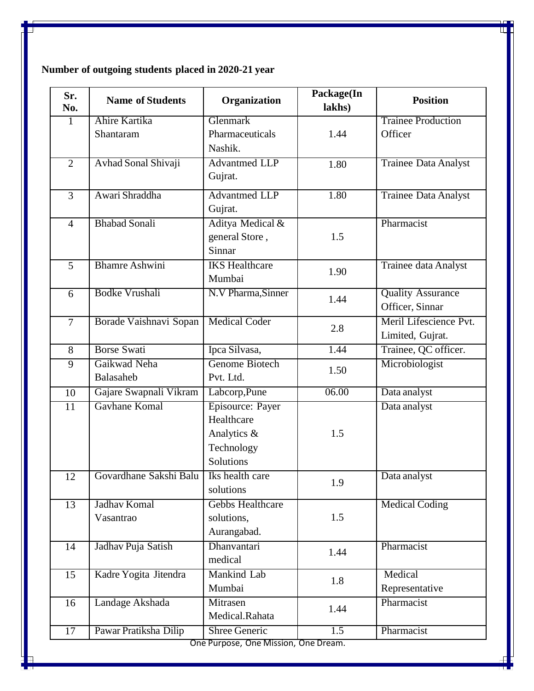| Sr.<br>No.                           | <b>Name of Students</b>    | Organization          | Package(In<br>lakhs) | <b>Position</b>             |
|--------------------------------------|----------------------------|-----------------------|----------------------|-----------------------------|
| $\mathbf{1}$                         | Ahire Kartika              | Glenmark              |                      | <b>Trainee Production</b>   |
|                                      | Shantaram                  | Pharmaceuticals       | 1.44                 | Officer                     |
|                                      |                            | Nashik.               |                      |                             |
| $\overline{2}$                       | <b>Avhad Sonal Shivaji</b> | <b>Advantmed LLP</b>  | 1.80                 | <b>Trainee Data Analyst</b> |
|                                      |                            | Gujrat.               |                      |                             |
| $\overline{3}$                       | Awari Shraddha             | <b>Advantmed LLP</b>  | 1.80                 | <b>Trainee Data Analyst</b> |
|                                      |                            | Gujrat.               |                      |                             |
| $\overline{4}$                       | <b>Bhabad Sonali</b>       | Aditya Medical &      |                      | Pharmacist                  |
|                                      |                            | general Store,        | 1.5                  |                             |
|                                      |                            | Sinnar                |                      |                             |
| $\overline{5}$                       | <b>Bhamre Ashwini</b>      | <b>IKS</b> Healthcare | 1.90                 | <b>Trainee data Analyst</b> |
|                                      |                            | Mumbai                |                      |                             |
| $\overline{6}$                       | <b>Bodke Vrushali</b>      | N.V Pharma, Sinner    | 1.44                 | <b>Quality Assurance</b>    |
|                                      |                            |                       |                      | Officer, Sinnar             |
| $\overline{7}$                       | Borade Vaishnavi Sopan     | <b>Medical Coder</b>  | 2.8                  | Meril Lifescience Pvt.      |
|                                      |                            |                       |                      | Limited, Gujrat.            |
| $8\,$                                | <b>Borse Swati</b>         | Ipca Silvasa,         | 1.44                 | Trainee, QC officer.        |
| $\overline{9}$                       | Gaikwad Neha               | Genome Biotech        | 1.50                 | Microbiologist              |
|                                      | Balasaheb                  | Pvt. Ltd.             |                      |                             |
| 10                                   | Gajare Swapnali Vikram     | Labcorp, Pune         | 06.00                | Data analyst                |
| $\overline{11}$                      | Gavhane Komal              | Episource: Payer      |                      | Data analyst                |
|                                      |                            | Healthcare            |                      |                             |
|                                      |                            | Analytics &           | 1.5                  |                             |
|                                      |                            | Technology            |                      |                             |
|                                      |                            | Solutions             |                      |                             |
| 12                                   | Govardhane Sakshi Balu     | Iks health care       | 1.9                  | Data analyst                |
|                                      |                            | solutions             |                      |                             |
| $\overline{13}$                      | Jadhav Komal               | Gebbs Healthcare      |                      | <b>Medical Coding</b>       |
|                                      | Vasantrao                  | solutions,            | 1.5                  |                             |
|                                      |                            | Aurangabad.           |                      |                             |
| $\overline{14}$                      | Jadhav Puja Satish         | Dhanvantari           | 1.44                 | Pharmacist                  |
|                                      |                            | medical               |                      |                             |
| 15                                   | Kadre Yogita Jitendra      | Mankind Lab           | 1.8                  | Medical                     |
|                                      |                            | Mumbai                |                      | Representative              |
| 16                                   | Landage Akshada            | Mitrasen              | 1.44                 | Pharmacist                  |
|                                      |                            | Medical.Rahata        |                      |                             |
| $\overline{17}$                      | Pawar Pratiksha Dilip      | <b>Shree Generic</b>  | 1.5                  | Pharmacist                  |
| One Purpose, One Mission, One Dream. |                            |                       |                      |                             |

**Number of outgoing students placed in 2020-21 year**

 $\mathbb T$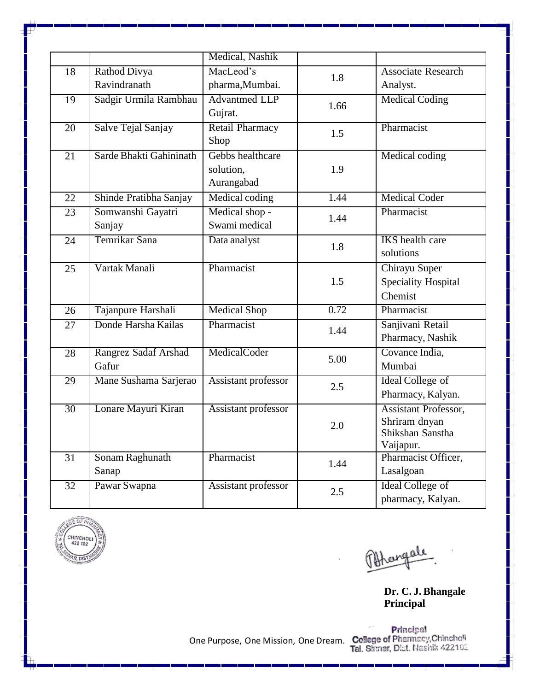|                 |                         | Medical, Nashik        |      |                             |
|-----------------|-------------------------|------------------------|------|-----------------------------|
| 18              | Rathod Divya            | MacLeod's              | 1.8  | <b>Associate Research</b>   |
|                 | Ravindranath            | pharma, Mumbai.        |      | Analyst.                    |
| $\overline{19}$ | Sadgir Urmila Rambhau   | <b>Advantmed LLP</b>   | 1.66 | <b>Medical Coding</b>       |
|                 |                         | Gujrat.                |      |                             |
| $\overline{20}$ | Salve Tejal Sanjay      | <b>Retail Pharmacy</b> | 1.5  | Pharmacist                  |
|                 |                         | Shop                   |      |                             |
| 21              | Sarde Bhakti Gahininath | Gebbs healthcare       |      | Medical coding              |
|                 |                         | solution.              | 1.9  |                             |
|                 |                         | Aurangabad             |      |                             |
| 22              | Shinde Pratibha Sanjay  | Medical coding         | 1.44 | <b>Medical Coder</b>        |
| 23              | Somwanshi Gayatri       | Medical shop -         | 1.44 | Pharmacist                  |
|                 | Sanjay                  | Swami medical          |      |                             |
| 24              | Temrikar Sana           | Data analyst           | 1.8  | <b>IKS</b> health care      |
|                 |                         |                        |      | solutions                   |
| 25              | Vartak Manali           | Pharmacist             |      | Chirayu Super               |
|                 |                         |                        | 1.5  | <b>Speciality Hospital</b>  |
|                 |                         |                        |      | Chemist                     |
| 26              | Tajanpure Harshali      | <b>Medical Shop</b>    | 0.72 | Pharmacist                  |
| 27              | Donde Harsha Kailas     | Pharmacist             | 1.44 | Sanjivani Retail            |
|                 |                         |                        |      | Pharmacy, Nashik            |
| 28              | Rangrez Sadaf Arshad    | MedicalCoder           | 5.00 | Covance India,              |
|                 | Gafur                   |                        |      | Mumbai                      |
| 29              | Mane Sushama Sarjerao   | Assistant professor    | 2.5  | <b>Ideal College of</b>     |
|                 |                         |                        |      | Pharmacy, Kalyan.           |
| $\overline{30}$ | Lonare Mayuri Kiran     | Assistant professor    |      | <b>Assistant Professor,</b> |
|                 |                         |                        | 2.0  | Shriram dnyan               |
|                 |                         |                        |      | Shikshan Sanstha            |
|                 |                         |                        |      | Vaijapur.                   |
| 31              | Sonam Raghunath         | Pharmacist             | 1.44 | Pharmacist Officer,         |
|                 | Sanap                   |                        |      | Lasalgoan                   |
| $\overline{32}$ | Pawar Swapna            | Assistant professor    | 2.5  | <b>Ideal College of</b>     |
|                 |                         |                        |      | pharmacy, Kalyan.           |



Phargale

**Dr. C. J. Bhangale Principal**

Principal<br>One Purpose, One Mission, One Dream. College of Pharmacy, Chincholi<br>Tal. Shmar, Dist. Nashik 422102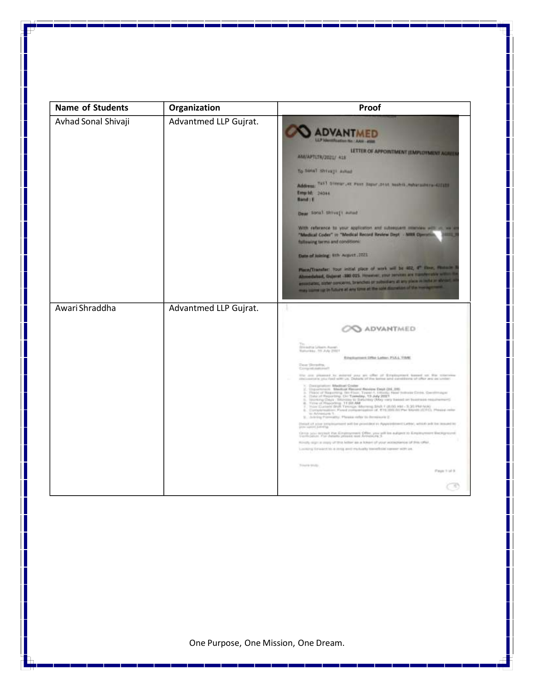| <b>Name of Students</b> | Organization          | Proof                                                                                                                                                                                                                                                                                                                                 |
|-------------------------|-----------------------|---------------------------------------------------------------------------------------------------------------------------------------------------------------------------------------------------------------------------------------------------------------------------------------------------------------------------------------|
| Avhad Sonal Shivaji     | Advantmed LLP Gujrat. | Allan No.: AAN - ANN                                                                                                                                                                                                                                                                                                                  |
|                         |                       | LETTER OF APPOINTMENT (EMPLOYMENT AGREE)<br>AM/APTLIN/2021/ 418                                                                                                                                                                                                                                                                       |
|                         |                       | To Small Shivage Autust                                                                                                                                                                                                                                                                                                               |
|                         |                       | Address TATT STORY AR PART Department models induces the 422233<br>Eingrid: 24044<br><b>Bund 11</b>                                                                                                                                                                                                                                   |
|                         |                       | Dear Strial Shiveji autod                                                                                                                                                                                                                                                                                                             |
|                         |                       | With reference to your application and subsequent marries with an weight<br>"Medical Coder" in "Medical Record Review Dept. - MIBI Operation<br><b>ABSES</b><br>fallowing terms and conditions:                                                                                                                                       |
|                         |                       | Date of Joining: 8th August . 2221                                                                                                                                                                                                                                                                                                    |
|                         |                       | Place/Therefor: Your initial place of work will be 402, 4" from, massive is<br>Abmodated, Osleret -380 015. However, your persons are Hamferstow within the<br>enterchalter, stater concerns, branches or subsidiary at any place in base or abroad, a<br>may come up in future at any time at the sole discretion of the management. |
| Awari Shraddha          | Advantmed LLP Gujrat. |                                                                                                                                                                                                                                                                                                                                       |
|                         |                       | ADVANTMED                                                                                                                                                                                                                                                                                                                             |
|                         |                       | Divisional Liberty Roads                                                                                                                                                                                                                                                                                                              |
|                         |                       | Ellistication Office Latine, PLILL, TANE<br>Dee Straits,                                                                                                                                                                                                                                                                              |
|                         |                       | Competitionship<br>the arm process to accept you are offer of fireplayment locast on the systems.<br>Hollowers you had still us Databa of the latins and constitute of this we as unitar                                                                                                                                              |
|                         |                       | $\gamma$ . The matrices of the first County of Research function (2000) and the matrix of the space of the first control (2000) and the matrix of the space of the space of the control (3000) and the space of the space of the<br>to Advances 1.<br>S. John'ny Pontrolly, Phonix refer to demissive 2.                              |
|                         |                       | Depart of your analysis/mort will be provided to Apparentment Getter, which ask he insured by<br>you about painting                                                                                                                                                                                                                   |
|                         |                       | Group seas depart that Constructions Office, you will be autigors to Kingdogment Beckground.<br>Shorthalasts, For detects philoson was Armenium 3.                                                                                                                                                                                    |
|                         |                       | Already sign: a seary of this follow as a follow of your accountance of this other.<br>Locating firmwart his is story and mutually trained plat namely with an                                                                                                                                                                        |
|                         |                       | Tringle Shills<br>Page 1 of 8                                                                                                                                                                                                                                                                                                         |
|                         |                       |                                                                                                                                                                                                                                                                                                                                       |
|                         |                       |                                                                                                                                                                                                                                                                                                                                       |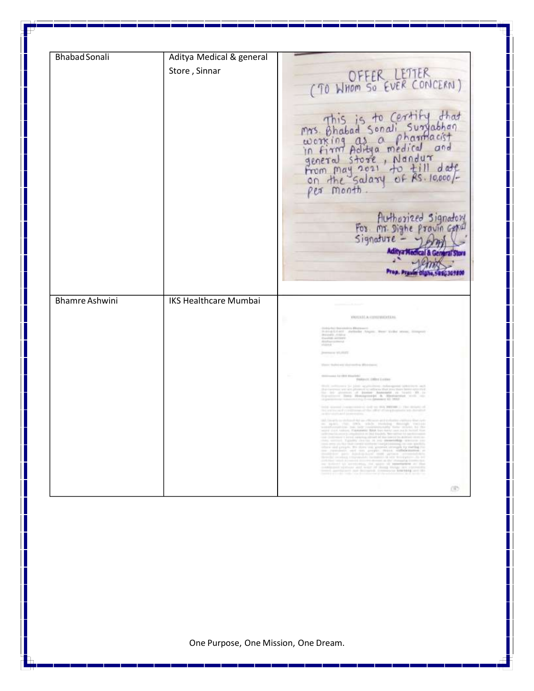| <b>Bhabad Sonali</b>  | Aditya Medical & general     |                                                                                                                                                                                                                                                                                                                                                                                                                                                                                                                                                                                                                                                                                            |
|-----------------------|------------------------------|--------------------------------------------------------------------------------------------------------------------------------------------------------------------------------------------------------------------------------------------------------------------------------------------------------------------------------------------------------------------------------------------------------------------------------------------------------------------------------------------------------------------------------------------------------------------------------------------------------------------------------------------------------------------------------------------|
|                       | Store, Sinnar                | (TO WHOM SO EVER CONCERN)<br>mrs. Bhabad Sonali Suryabhan<br>working as a charmacist<br>in firm Aditya medical and<br>general store, Nandur<br>From may 2021 to till date<br>on the salary of Rs. 10,000/-<br>Authorized Signatory<br>For mr Dighe provincepted<br>$Signature -$<br>r Digina, 58 60309 100                                                                                                                                                                                                                                                                                                                                                                                 |
| <b>Bhamre Ashwini</b> | <b>IKS Healthcare Mumbai</b> | WOULD A CITEDITION.<br>Bader Angers, Bene Kylled sevens, 2008<br>to any story and a filter and<br>LE 12 4 8 8 10 11 12<br>Peterm (Obs Leine<br>and in address the transfer and the state property in the $\alpha$<br>$\begin{tabular}{l} $ \begin{tabular}{l} \bf 0 & 0 & 0 \\ \bf 1 & 0 & 0 \\ \bf 2 & 0 & 0 \\ \bf 3 & 0 & 0 \\ \bf 4 & 0 & 0 \\ \bf 5 & 0 & 0 \\ \bf 6 & 0 & 0 \\ \bf 7 & 0 & 0 \\ \bf 8 & 0 & 0 \\ \bf 9 & 0 & 0 \\ \bf 10 & 0 & 0 \\ \bf 11 & 0 & 0 \\ \bf 12 & 0 & 0 \\ \bf 13 & 0 & 0 \\ \bf 14 & 0 & 0 \\ \bf 15 & 0 & 0 \\ \bf 16 & 0 & 0 \\ \bf 17 & 0 &$<br>more in paints apparing attract of the<br>the first and probability<br>erner<br>The Merchan control |
|                       |                              | OD.                                                                                                                                                                                                                                                                                                                                                                                                                                                                                                                                                                                                                                                                                        |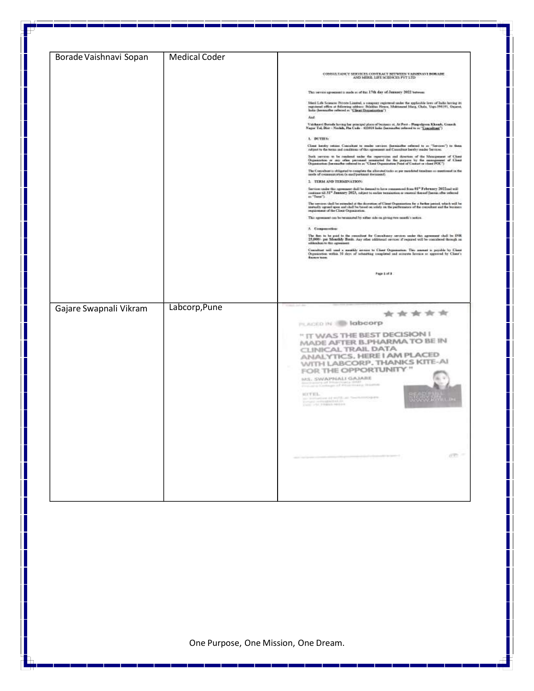| Borade Vaishnavi Sopan | <b>Medical Coder</b> |                                                                                                                                                                                                                                                                                                                                                                       |
|------------------------|----------------------|-----------------------------------------------------------------------------------------------------------------------------------------------------------------------------------------------------------------------------------------------------------------------------------------------------------------------------------------------------------------------|
|                        |                      | CONSULTANCY SERVICES CONTRACT SETWISH VANDANT BORADE                                                                                                                                                                                                                                                                                                                  |
|                        |                      | The person agreement to made at of the 17th day of January 2022 between                                                                                                                                                                                                                                                                                               |
|                        |                      | Mati Life Science: Private Limited, a company regime of under the applicitie lives of India faccing it<br>is equivered effect of following addents: Building Heave, Noktonomi Marg, Choix, Vega 394191, Ospest, India<br>India (her                                                                                                                                   |
|                        |                      | And                                                                                                                                                                                                                                                                                                                                                                   |
|                        |                      | Vatskaard Bernde koving her principal place of bestems at At Part - Planpskyons Klassek, Ganach<br>Nagar Tai, Dist - Nashih, Pia Cade - 422010 koka (harniauber polumet to ar " <u>Contaktors")</u>                                                                                                                                                                   |
|                        |                      | 1. DUTIES:                                                                                                                                                                                                                                                                                                                                                            |
|                        |                      | Close looply retire: Considers to make service, (how<br>inflat referred to an "herone") to then relying to continue heron control to an expected for the term and conditions of this spreasest and Considerate why mode Services                                                                                                                                      |
|                        |                      | Such service to be centered under the repertation and duration of the Management of Cheri (Appearance of Cheri<br>Organization or any other personated meanstral for the parageon by the management of Cheri<br>Organization (becom                                                                                                                                   |
|                        |                      | The Consolicer is obligated to cooplete the allocated tasks or per mandated timelines as questioned in the<br>mode of communication (e-mediperturent document).                                                                                                                                                                                                       |
|                        |                      | 1. TERM AND TERMINATION:<br>Services under the agreement thalf be deemed to have commenced from $61^{\circ}$ February 1922<br>and will continue til $51^{\circ}$ Juneaury 1925, only<br>set to ender termination as reasonal thereof (herein after referred                                                                                                           |
|                        |                      | as "Tena").                                                                                                                                                                                                                                                                                                                                                           |
|                        |                      | The services shall be entended at the decretion of Claret Organization, for a further period, which will be<br>motodly agreed upon and shall be broad on order on the performance of the consultant and the broaters<br>requirement                                                                                                                                   |
|                        |                      | This spreezest can be terminated by wither side on giving two month's potton.                                                                                                                                                                                                                                                                                         |
|                        |                      | A Companiention:<br>The first in he push in the committed for Concellency cervine; under this agreement shall be DIR.<br>25,600% per Monethly Borth. Any other additional service: if required will be countleted through an                                                                                                                                          |
|                        |                      | addenchias to this agrees                                                                                                                                                                                                                                                                                                                                             |
|                        |                      | Consider will used a monthly needed to Clent Ognometers. This masses is preside by Clent Organization within 30 steps of infearing completed and account in opposed by Clent's discrete the clear is                                                                                                                                                                  |
|                        |                      | Page 3 of 3                                                                                                                                                                                                                                                                                                                                                           |
|                        |                      |                                                                                                                                                                                                                                                                                                                                                                       |
| Gajare Swapnali Vikram | Labcorp, Pune        | *****<br>PLACED IN 18 labcorp                                                                                                                                                                                                                                                                                                                                         |
|                        |                      | " IT WAS THE BEST DECISION I                                                                                                                                                                                                                                                                                                                                          |
|                        |                      | MADE AFTER B.PHARMA TO BE IN<br>CLINICAL TRAIL DATA<br>ANALYTICS, HERE I AM PLACED<br>WITH LABCORP, THANKS KITE-AI<br>FOR THE OPPORTUNITY "<br><b>MEALAPHALL GAJARE</b><br>the contract of the contract of the<br>KOTEL.<br>are contractions of well from the<br>contract property computed with $\alpha$ . The contract of<br>$\alpha$ is a sequence of the $\alpha$ |
|                        |                      | on =                                                                                                                                                                                                                                                                                                                                                                  |
|                        |                      |                                                                                                                                                                                                                                                                                                                                                                       |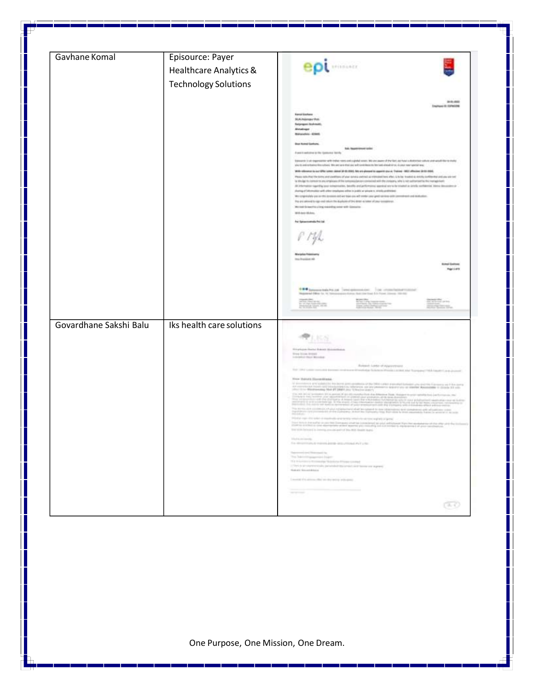| Gavhane Komal          | Episource: Payer            |                                                                                                                                                                                                                                                                                                                                                                                                                                                                                                                                                                                                                                                                                                                                                                                                                                                                                                                                                                                            |
|------------------------|-----------------------------|--------------------------------------------------------------------------------------------------------------------------------------------------------------------------------------------------------------------------------------------------------------------------------------------------------------------------------------------------------------------------------------------------------------------------------------------------------------------------------------------------------------------------------------------------------------------------------------------------------------------------------------------------------------------------------------------------------------------------------------------------------------------------------------------------------------------------------------------------------------------------------------------------------------------------------------------------------------------------------------------|
|                        | Healthcare Analytics &      | <b>Reinmann</b>                                                                                                                                                                                                                                                                                                                                                                                                                                                                                                                                                                                                                                                                                                                                                                                                                                                                                                                                                                            |
|                        | <b>Technology Solutions</b> |                                                                                                                                                                                                                                                                                                                                                                                                                                                                                                                                                                                                                                                                                                                                                                                                                                                                                                                                                                                            |
|                        |                             |                                                                                                                                                                                                                                                                                                                                                                                                                                                                                                                                                                                                                                                                                                                                                                                                                                                                                                                                                                                            |
|                        |                             | 39-91-0000<br>Engineer 10: Editeration                                                                                                                                                                                                                                                                                                                                                                                                                                                                                                                                                                                                                                                                                                                                                                                                                                                                                                                                                     |
|                        |                             | <b><i><u>Samal Esphano</u></i></b><br><b>Municipal</b> Pres.<br>Satyangan Ikuhmiti,<br>Metallinger<br>Maturatics - Alders                                                                                                                                                                                                                                                                                                                                                                                                                                                                                                                                                                                                                                                                                                                                                                                                                                                                  |
|                        |                             | <b>Basi Kumd Garburn</b><br><b>Ball</b> : Regardment cardial                                                                                                                                                                                                                                                                                                                                                                                                                                                                                                                                                                                                                                                                                                                                                                                                                                                                                                                               |
|                        |                             | If post-translation prifits Queenville North-<br>Editional of the impressions with indiversions and yighted source. We are aware of the fact, all have a districtive yighter sales and would like to that's<br>and to anti-refused the collect. She are sent that only and contribute to the last-sheed of co. A plus manipulational                                                                                                                                                                                                                                                                                                                                                                                                                                                                                                                                                                                                                                                       |
|                        |                             | With reference to our liftle camer stand (if the RMS, Ne art-pleased to appete good, Trainee -MST offering SEBS-2000,<br>Please with that the timing and contitions of your newly continue; at videopositions after, is to be frouted as ability contribution and one and<br>lat dihe dapi tito interessions una detablisate of filte sympassical accompanies and other designma sells by her self-autocalities finity reprogrammely<br>All information signifity loss remainsation, basello and prifermance special servicity strated as United configurate idents democratic on<br>during of information with aller resultance administration or private in strains and trains<br>We conjected by an or this is conce, and we have an well contact your gent up to a view and not work intellution.<br>The anciented to approximate the hydrotrof the most access of pay assessment.<br>We not in section impressing over sith Gimson.                                                   |
|                        |                             | Will And Walnut.<br>he brannersk-helpt                                                                                                                                                                                                                                                                                                                                                                                                                                                                                                                                                                                                                                                                                                                                                                                                                                                                                                                                                     |
|                        |                             | roje                                                                                                                                                                                                                                                                                                                                                                                                                                                                                                                                                                                                                                                                                                                                                                                                                                                                                                                                                                                       |
|                        |                             | Ins Institut #8<br><b>Birks Gallery</b><br><b>Registers</b>                                                                                                                                                                                                                                                                                                                                                                                                                                                                                                                                                                                                                                                                                                                                                                                                                                                                                                                                |
|                        |                             | <b>EXP by prove bala Po.com</b> (when extensional control and antimal behavioral and<br>Naparent Office for 10 hardwareness during due that \$1.0 flows (down) 100 kW<br><b>CONTRACTOR</b>                                                                                                                                                                                                                                                                                                                                                                                                                                                                                                                                                                                                                                                                                                                                                                                                 |
| Govardhane Sakshi Balu | Iks health care solutions   |                                                                                                                                                                                                                                                                                                                                                                                                                                                                                                                                                                                                                                                                                                                                                                                                                                                                                                                                                                                            |
|                        |                             |                                                                                                                                                                                                                                                                                                                                                                                                                                                                                                                                                                                                                                                                                                                                                                                                                                                                                                                                                                                            |
|                        |                             | 55.06                                                                                                                                                                                                                                                                                                                                                                                                                                                                                                                                                                                                                                                                                                                                                                                                                                                                                                                                                                                      |
|                        |                             |                                                                                                                                                                                                                                                                                                                                                                                                                                                                                                                                                                                                                                                                                                                                                                                                                                                                                                                                                                                            |
|                        |                             | ing the pair (that has the data of all associated as a<br><b>Disk Scott Armed</b><br>Indebt had been                                                                                                                                                                                                                                                                                                                                                                                                                                                                                                                                                                                                                                                                                                                                                                                                                                                                                       |
|                        |                             | Avenue Lade of Appropriate<br>for the cent terms a present out aim distribute follows them a stabilize hyperged this local countries.                                                                                                                                                                                                                                                                                                                                                                                                                                                                                                                                                                                                                                                                                                                                                                                                                                                      |
|                        |                             | New Banda Siccerdiana<br>V describert auf schließen der Rein gemeinstern und Gefühlung des Kantigen als Beitrich (der auf die Statten)<br>An einem der Statte und den Tade (der Statten der an der Statten der als der Statten dem Reinigerer in Statte<br>"P                                                                                                                                                                                                                                                                                                                                                                                                                                                                                                                                                                                                                                                                                                                              |
|                        |                             | $\label{eq:2.1} \begin{array}{ll} \mathcal{L}(\mathcal{L}(\mathcal{L})) = \mathcal{L}(\mathcal{L}(\mathcal{L})) = \mathcal{L}(\mathcal{L}(\mathcal{L})) = \mathcal{L}(\mathcal{L}(\mathcal{L})) = \mathcal{L}(\mathcal{L}(\mathcal{L})) = \mathcal{L}(\mathcal{L}(\mathcal{L})) = \mathcal{L}(\mathcal{L}(\mathcal{L})) = \mathcal{L}(\mathcal{L}(\mathcal{L})) = \mathcal{L}(\mathcal{L}(\mathcal{L})) = \mathcal{L}(\mathcal{L}(\mathcal{L})) = \mathcal{L}(\mathcal{L}(\math$<br>the most of a constructed that a sequence is shall be added in the characters and completely and adjustment com<br>A second complete of the Complete Mark by Surveyley that for the best on a second to be a second or any second<br>Printed into this track is marked on a new control of the subset of printed<br>has this is he safer in parties Damager what as considered to plus with them they be an electronical data the state of the line.<br>The strength and Col. Box 2018 13 parts to any |
|                        |                             | The fit and money.                                                                                                                                                                                                                                                                                                                                                                                                                                                                                                                                                                                                                                                                                                                                                                                                                                                                                                                                                                         |
|                        |                             | To discovered massive as a cross PeT che-<br>thermodyna Hormand In-<br>The Takimit assumed high-                                                                                                                                                                                                                                                                                                                                                                                                                                                                                                                                                                                                                                                                                                                                                                                                                                                                                           |
|                        |                             | The Robertstein Williamstran Scholars Plaster Louised<br>(They're an interestingly parameter throughout into home we express<br>Telephone Security Council                                                                                                                                                                                                                                                                                                                                                                                                                                                                                                                                                                                                                                                                                                                                                                                                                                 |
|                        |                             | I assist the associated in the print released                                                                                                                                                                                                                                                                                                                                                                                                                                                                                                                                                                                                                                                                                                                                                                                                                                                                                                                                              |
|                        |                             | the company's first process that the company's company's process<br><b>SERVICE</b>                                                                                                                                                                                                                                                                                                                                                                                                                                                                                                                                                                                                                                                                                                                                                                                                                                                                                                         |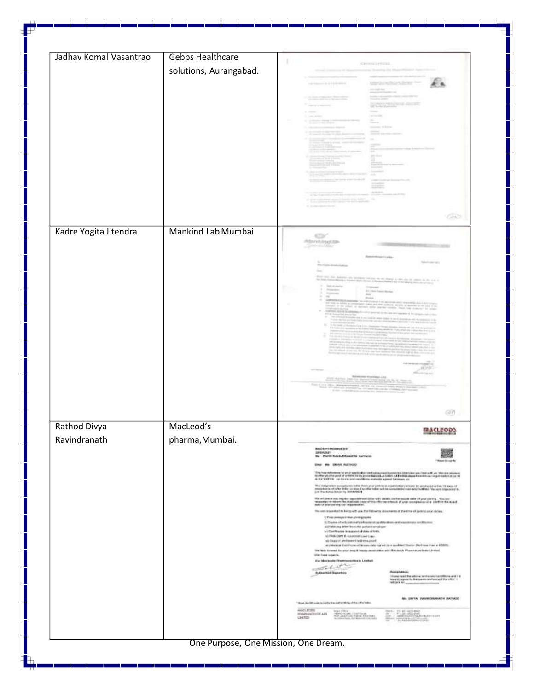| Jadhav Komal Vasantrao | <b>Gebbs Healthcare</b>              |                                                                                                                                                                                                                                                                                                                                                                                                                                                                                                                                                                                                                                                                                                                                                                                                                                                                                                                                                                                                                                                                                                                                                                                                                                                                                                                                                                                                                                                                                                                                                                                                                                                                                                                                                                                                                                                                                                                                                                                                                                                                                                                                                                                                                                                                                                                                                                           |
|------------------------|--------------------------------------|---------------------------------------------------------------------------------------------------------------------------------------------------------------------------------------------------------------------------------------------------------------------------------------------------------------------------------------------------------------------------------------------------------------------------------------------------------------------------------------------------------------------------------------------------------------------------------------------------------------------------------------------------------------------------------------------------------------------------------------------------------------------------------------------------------------------------------------------------------------------------------------------------------------------------------------------------------------------------------------------------------------------------------------------------------------------------------------------------------------------------------------------------------------------------------------------------------------------------------------------------------------------------------------------------------------------------------------------------------------------------------------------------------------------------------------------------------------------------------------------------------------------------------------------------------------------------------------------------------------------------------------------------------------------------------------------------------------------------------------------------------------------------------------------------------------------------------------------------------------------------------------------------------------------------------------------------------------------------------------------------------------------------------------------------------------------------------------------------------------------------------------------------------------------------------------------------------------------------------------------------------------------------------------------------------------------------------------------------------------------------|
|                        | solutions, Aurangabad.               | <b>CHANGED ART</b><br>$-100$<br>OR.                                                                                                                                                                                                                                                                                                                                                                                                                                                                                                                                                                                                                                                                                                                                                                                                                                                                                                                                                                                                                                                                                                                                                                                                                                                                                                                                                                                                                                                                                                                                                                                                                                                                                                                                                                                                                                                                                                                                                                                                                                                                                                                                                                                                                                                                                                                                       |
| Kadre Yogita Jitendra  | Mankind Lab Mumbai                   | e<br>Manhitsofile<br><b>Bill State Free</b><br>GO.                                                                                                                                                                                                                                                                                                                                                                                                                                                                                                                                                                                                                                                                                                                                                                                                                                                                                                                                                                                                                                                                                                                                                                                                                                                                                                                                                                                                                                                                                                                                                                                                                                                                                                                                                                                                                                                                                                                                                                                                                                                                                                                                                                                                                                                                                                                        |
| Rathod Divya           | MacLeod's                            | <b>MACLEOD</b>                                                                                                                                                                                                                                                                                                                                                                                                                                                                                                                                                                                                                                                                                                                                                                                                                                                                                                                                                                                                                                                                                                                                                                                                                                                                                                                                                                                                                                                                                                                                                                                                                                                                                                                                                                                                                                                                                                                                                                                                                                                                                                                                                                                                                                                                                                                                                            |
| Ravindranath           | pharma, Mumbai.                      | WASHIMURDERLY<br><b>UNISSIMITY</b><br>We DIVISIONALISANITIE SATISFIE<br><sup>1</sup> Elizabeth in controller<br>ENG: We Shrive Automotive<br>The first reference to prior application and accumpations and interview pay feature five. We are above as<br>Hotter plusher and of intertaining a contained AU (AIT) and it additions a location or regardiate above to<br>& P CENTER. For forms and candidate maturity agene between us.<br>The malgration acceptance infor them puri professor regardedness scants by produced action 13 days of<br>manpless of shike Hills: co was the children with a subscripted cast and malling. You are expected by<br>just the duties le<br>the set into a survey dat approximate with debts on the select sub-style proving. Storage and the selection of<br>required in other than approximately complete the produced of your complements in radius the squad<br>The set requested to be quickly and by Fallowing dissurance or the time of justice and during."<br><b>C</b> Floor postage it also a hubig review<br>E: Crisine of infanational professional galable about rank agreement and those as<br>(c) Perforcing televident than the present simulation<br>by Continuous in supported plate of both.<br>ALTREGATE A RAINING CAR Care<br>sti Chas of pertament seléves port<br>at integrated Continuous of Women state in prest by a qualified States (Auditora Free a MMRS).<br>The look timeset for your length Aquay peoplosition with Machucky Physmocourtested (Physmocourtested)<br>UNITED STATE.<br><b>For Mexicode Phenomenonicals Limited:</b><br>world the<br>Abrigation of<br>Automatic Squarery<br>$\rightarrow$<br>intuing right flow policing bands and identifiers and if it<br>forms y agrees to this paints and passed the other. ( )<br>will print the<br>No DATO, ARUSONAVADO WATAOD:<br>"Bush the Officers to youth it a police strike of the officialist<br>AMCLECIES<br>$\frac{1}{2}$ $\frac{1}{2}$ $\frac{1}{2}$ $\frac{1}{2}$ $\frac{1}{2}$ $\frac{1}{2}$ $\frac{1}{2}$ $\frac{1}{2}$ $\frac{1}{2}$ $\frac{1}{2}$ $\frac{1}{2}$ $\frac{1}{2}$ $\frac{1}{2}$ $\frac{1}{2}$ $\frac{1}{2}$ $\frac{1}{2}$ $\frac{1}{2}$ $\frac{1}{2}$ $\frac{1}{2}$ $\frac{1}{2}$ $\frac{1}{2}$ $\frac{1}{2}$<br>Sight (2004)<br>School Hotel (2004) (2004)<br>School Hotel (2004) (2004)<br>PROPERTY/REALTY<br>GMTED |
|                        | One Purpose, One Mission, One Dream. |                                                                                                                                                                                                                                                                                                                                                                                                                                                                                                                                                                                                                                                                                                                                                                                                                                                                                                                                                                                                                                                                                                                                                                                                                                                                                                                                                                                                                                                                                                                                                                                                                                                                                                                                                                                                                                                                                                                                                                                                                                                                                                                                                                                                                                                                                                                                                                           |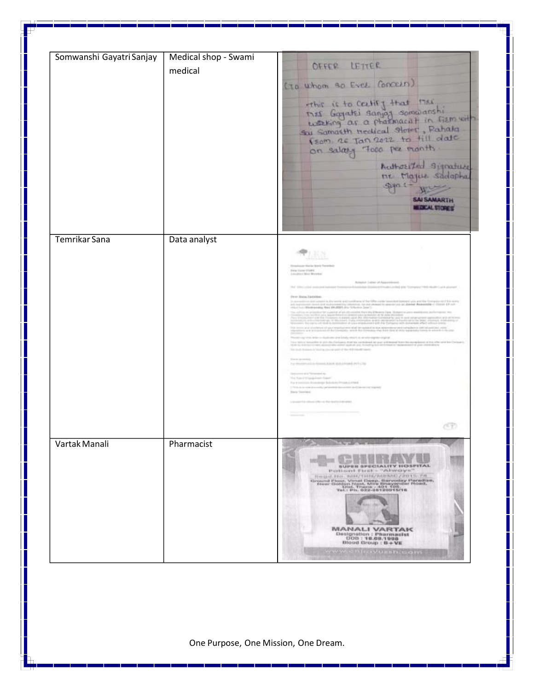| Somwanshi Gayatri Sanjay | Medical shop - Swami |                                                                                                                                                                                                                                                                                                           |
|--------------------------|----------------------|-----------------------------------------------------------------------------------------------------------------------------------------------------------------------------------------------------------------------------------------------------------------------------------------------------------|
|                          |                      | OFFER LETTER                                                                                                                                                                                                                                                                                              |
|                          | medical              |                                                                                                                                                                                                                                                                                                           |
|                          |                      | ( To whom go Ever Concern)                                                                                                                                                                                                                                                                                |
|                          |                      |                                                                                                                                                                                                                                                                                                           |
|                          |                      | ethic is to certify that these<br>that Gogathi sanjag somolanshi<br>waking ar a pharmacult in firm with                                                                                                                                                                                                   |
|                          |                      |                                                                                                                                                                                                                                                                                                           |
|                          |                      | Sai Samasth nectical Stepper, Pahata<br>VEOM RE Jan 2022 to till date                                                                                                                                                                                                                                     |
|                          |                      | on salary Topo per month                                                                                                                                                                                                                                                                                  |
|                          |                      | Authorities signature                                                                                                                                                                                                                                                                                     |
|                          |                      | ne Majue Sadapha                                                                                                                                                                                                                                                                                          |
|                          |                      | spin == Him                                                                                                                                                                                                                                                                                               |
|                          |                      | <b>SAI SAMARTH</b>                                                                                                                                                                                                                                                                                        |
|                          |                      | <b>MEDICAL STORES</b>                                                                                                                                                                                                                                                                                     |
|                          |                      |                                                                                                                                                                                                                                                                                                           |
|                          |                      |                                                                                                                                                                                                                                                                                                           |
| Temrikar Sana            | Data analyst         |                                                                                                                                                                                                                                                                                                           |
|                          |                      | 風俗                                                                                                                                                                                                                                                                                                        |
|                          |                      | Electronic Horizo Boyd, Tacolina<br>free line-titre.                                                                                                                                                                                                                                                      |
|                          |                      | Littlebace Work Warmbor<br>Rompfort (values of Appointment)                                                                                                                                                                                                                                               |
|                          |                      | and manded belower from your framings. Stations from the late for "company" "41 model and search                                                                                                                                                                                                          |
|                          |                      | Hy av Histog Tacterings:<br>is a continue of a strain when the continues of the life could mean to a power of the control of the control of the control of the control of the control of the control of the control of the control of the control of the                                                  |
|                          |                      |                                                                                                                                                                                                                                                                                                           |
|                          |                      | $\mathcal{L}=\mathcal{L}(\sqrt{1+\epsilon})$ . We then see that it adds to the distance recognition of all properties over                                                                                                                                                                                |
|                          |                      | the state of the first company and party said at the state and as where the state of the state of the state of the state of the state of the state of the state of the state of the state of the state of the state of the sta                                                                            |
|                          |                      | taa bilica turunko in piirittu kalkatuun kalkatu valikileed kirjaan arkikaad kuvo kalkatujuma oli ka viimand ko<br>Kilk la kalkatu vali, kalkatu de militti kalkatuja, kirjaali piiri lahintaa so maanimari (1 pari mekalimin<br>his body fascined to his rivers (including \$10.00 for \$10.000 minutes) |
|                          |                      | There are excellent and<br>To the process in the contribution of the process and con-                                                                                                                                                                                                                     |
|                          |                      | Service and School Av.<br>The Associations and Copyright                                                                                                                                                                                                                                                  |
|                          |                      | The Westmann's Alcohology Bulletinia (Physical crimed)<br>This is a contract primary description of the correspond                                                                                                                                                                                        |
|                          |                      | buy border.                                                                                                                                                                                                                                                                                               |
|                          |                      | 2 to concrete column of the red that many a structured.                                                                                                                                                                                                                                                   |
|                          |                      |                                                                                                                                                                                                                                                                                                           |
|                          |                      | CD.                                                                                                                                                                                                                                                                                                       |
| Vartak Manali            | Pharmacist           |                                                                                                                                                                                                                                                                                                           |
|                          |                      |                                                                                                                                                                                                                                                                                                           |
|                          |                      | <b>Hill</b><br><b>NISK FOR AN</b><br><b>BUPER SPECIALITY HOSPITAL</b><br>POBISON FIES - "Always"                                                                                                                                                                                                          |
|                          |                      | ROUNTED BAR/THIR/MINIC/2015-78                                                                                                                                                                                                                                                                            |
|                          |                      | Ground Fisco, Vimal Deep, Sarveday Paradus,<br>Idear Golden Rent, Mira Bayander Road,<br>Idear Gold, Tusis -401.101.<br>Tod, Tod, The Golden Paradus -401.101.                                                                                                                                            |
|                          |                      |                                                                                                                                                                                                                                                                                                           |
|                          |                      |                                                                                                                                                                                                                                                                                                           |
|                          |                      | <b><i>MANALI VARTAK</i></b>                                                                                                                                                                                                                                                                               |
|                          |                      | Designation : Pharmasist<br>000:18.00.1998<br>Blood Group : B+VE                                                                                                                                                                                                                                          |
|                          |                      | <b>OW. Chicardus showers</b>                                                                                                                                                                                                                                                                              |
|                          |                      |                                                                                                                                                                                                                                                                                                           |